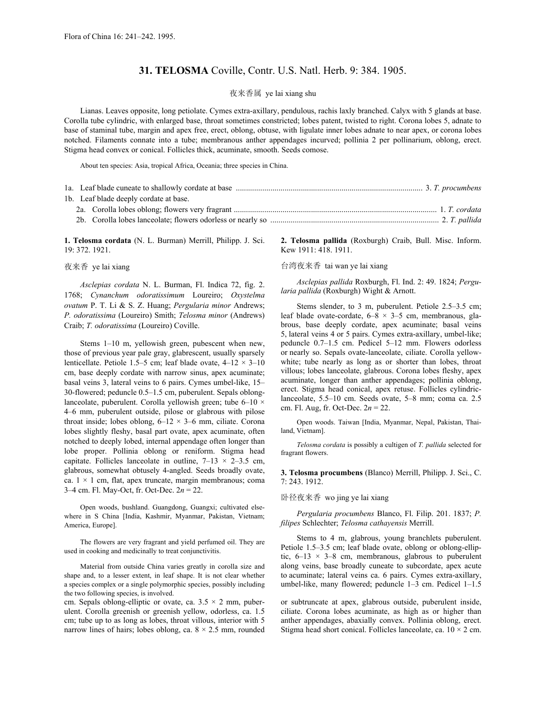# **31. TELOSMA** Coville, Contr. U.S. Natl. Herb. 9: 384. 1905.

### 夜来香属 ye lai xiang shu

Lianas. Leaves opposite, long petiolate. Cymes extra-axillary, pendulous, rachis laxly branched. Calyx with 5 glands at base. Corolla tube cylindric, with enlarged base, throat sometimes constricted; lobes patent, twisted to right. Corona lobes 5, adnate to base of staminal tube, margin and apex free, erect, oblong, obtuse, with ligulate inner lobes adnate to near apex, or corona lobes notched. Filaments connate into a tube; membranous anther appendages incurved; pollinia 2 per pollinarium, oblong, erect. Stigma head convex or conical. Follicles thick, acuminate, smooth. Seeds comose.

About ten species: Asia, tropical Africa, Oceania; three species in China.

|  | 1b. Leaf blade deeply cordate at base. |  |
|--|----------------------------------------|--|
|  |                                        |  |
|  |                                        |  |

**1. Telosma cordata** (N. L. Burman) Merrill, Philipp. J. Sci. 19: 372. 1921.

#### 夜来香 ye lai xiang

*Asclepias cordata* N. L. Burman, Fl. Indica 72, fig. 2. 1768; *Cynanchum odoratissimum* Loureiro; *Oxystelma ovatum* P. T. Li & S. Z. Huang; *Pergularia minor* Andrews; *P. odoratissima* (Loureiro) Smith; *Telosma minor* (Andrews) Craib; *T. odoratissima* (Loureiro) Coville.

Stems 1–10 m, yellowish green, pubescent when new, those of previous year pale gray, glabrescent, usually sparsely lenticellate. Petiole 1.5–5 cm; leaf blade ovate, 4–12 × 3–10 cm, base deeply cordate with narrow sinus, apex acuminate; basal veins 3, lateral veins to 6 pairs. Cymes umbel-like, 15– 30-flowered; peduncle 0.5–1.5 cm, puberulent. Sepals oblonglanceolate, puberulent. Corolla yellowish green; tube 6–10  $\times$ 4–6 mm, puberulent outside, pilose or glabrous with pilose throat inside; lobes oblong, 6–12 × 3–6 mm, ciliate. Corona lobes slightly fleshy, basal part ovate, apex acuminate, often notched to deeply lobed, internal appendage often longer than lobe proper. Pollinia oblong or reniform. Stigma head capitate. Follicles lanceolate in outline,  $7-13 \times 2-3.5$  cm, glabrous, somewhat obtusely 4-angled. Seeds broadly ovate, ca.  $1 \times 1$  cm, flat, apex truncate, margin membranous; coma 3–4 cm. Fl. May-Oct, fr. Oct-Dec. 2*n* = 22.

Open woods, bushland. Guangdong, Guangxi; cultivated elsewhere in S China [India, Kashmir, Myanmar, Pakistan, Vietnam; America, Europe].

The flowers are very fragrant and yield perfumed oil. They are used in cooking and medicinally to treat conjunctivitis.

Material from outside China varies greatly in corolla size and shape and, to a lesser extent, in leaf shape. It is not clear whether a species complex or a single polymorphic species, possibly including the two following species, is involved.

cm. Sepals oblong-elliptic or ovate, ca.  $3.5 \times 2$  mm, puberulent. Corolla greenish or greenish yellow, odorless, ca. 1.5 cm; tube up to as long as lobes, throat villous, interior with 5 narrow lines of hairs; lobes oblong, ca.  $8 \times 2.5$  mm, rounded **2. Telosma pallida** (Roxburgh) Craib, Bull. Misc. Inform. Kew 1911: 418. 1911.

### 台湾夜来香 tai wan ye lai xiang

*Asclepias pallida* Roxburgh, Fl. Ind. 2: 49. 1824; *Pergularia pallida* (Roxburgh) Wight & Arnott.

Stems slender, to 3 m, puberulent. Petiole 2.5–3.5 cm; leaf blade ovate-cordate,  $6-8 \times 3-5$  cm, membranous, glabrous, base deeply cordate, apex acuminate; basal veins 5, lateral veins 4 or 5 pairs. Cymes extra-axillary, umbel-like; peduncle 0.7–1.5 cm. Pedicel 5–12 mm. Flowers odorless or nearly so. Sepals ovate-lanceolate, ciliate. Corolla yellowwhite; tube nearly as long as or shorter than lobes, throat villous; lobes lanceolate, glabrous. Corona lobes fleshy, apex acuminate, longer than anther appendages; pollinia oblong, erect. Stigma head conical, apex retuse. Follicles cylindriclanceolate, 5.5–10 cm. Seeds ovate, 5–8 mm; coma ca. 2.5 cm. Fl. Aug, fr. Oct-Dec. 2*n* = 22.

Open woods. Taiwan [India, Myanmar, Nepal, Pakistan, Thailand, Vietnam].

*Telosma cordata* is possibly a cultigen of *T. pallida* selected for fragrant flowers.

**3. Telosma procumbens** (Blanco) Merrill, Philipp. J. Sci., C. 7: 243. 1912.

## 卧径夜来香 wo jing ye lai xiang

*Pergularia procumbens* Blanco, Fl. Filip. 201. 1837; *P. filipes* Schlechter; *Telosma cathayensis* Merrill.

Stems to 4 m, glabrous, young branchlets puberulent. Petiole 1.5–3.5 cm; leaf blade ovate, oblong or oblong-elliptic,  $6-13 \times 3-8$  cm, membranous, glabrous to puberulent along veins, base broadly cuneate to subcordate, apex acute to acuminate; lateral veins ca. 6 pairs. Cymes extra-axillary, umbel-like, many flowered; peduncle 1–3 cm. Pedicel 1–1.5

or subtruncate at apex, glabrous outside, puberulent inside, ciliate. Corona lobes acuminate, as high as or higher than anther appendages, abaxially convex. Pollinia oblong, erect. Stigma head short conical. Follicles lanceolate, ca.  $10 \times 2$  cm.